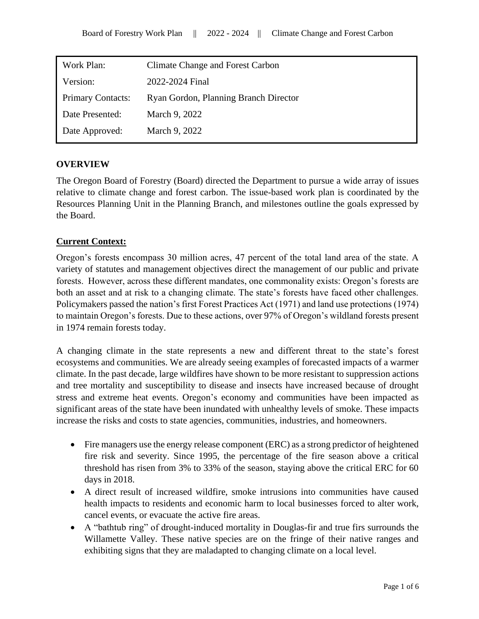| Work Plan:               | <b>Climate Change and Forest Carbon</b> |
|--------------------------|-----------------------------------------|
| Version:                 | 2022-2024 Final                         |
| <b>Primary Contacts:</b> | Ryan Gordon, Planning Branch Director   |
| Date Presented:          | March 9, 2022                           |
| Date Approved:           | March 9, 2022                           |
|                          |                                         |

## **OVERVIEW**

The Oregon Board of Forestry (Board) directed the Department to pursue a wide array of issues relative to climate change and forest carbon. The issue-based work plan is coordinated by the Resources Planning Unit in the Planning Branch, and milestones outline the goals expressed by the Board.

## **Current Context:**

Oregon's forests encompass 30 million acres, 47 percent of the total land area of the state. A variety of statutes and management objectives direct the management of our public and private forests. However, across these different mandates, one commonality exists: Oregon's forests are both an asset and at risk to a changing climate. The state's forests have faced other challenges. Policymakers passed the nation's first Forest Practices Act (1971) and land use protections (1974) to maintain Oregon's forests. Due to these actions, over 97% of Oregon's wildland forests present in 1974 remain forests today.

A changing climate in the state represents a new and different threat to the state's forest ecosystems and communities. We are already seeing examples of forecasted impacts of a warmer climate. In the past decade, large wildfires have shown to be more resistant to suppression actions and tree mortality and susceptibility to disease and insects have increased because of drought stress and extreme heat events. Oregon's economy and communities have been impacted as significant areas of the state have been inundated with unhealthy levels of smoke. These impacts increase the risks and costs to state agencies, communities, industries, and homeowners.

- Fire managers use the energy release component (ERC) as a strong predictor of heightened fire risk and severity. Since 1995, the percentage of the fire season above a critical threshold has risen from 3% to 33% of the season, staying above the critical ERC for 60 days in 2018.
- A direct result of increased wildfire, smoke intrusions into communities have caused health impacts to residents and economic harm to local businesses forced to alter work, cancel events, or evacuate the active fire areas.
- A "bathtub ring" of drought-induced mortality in Douglas-fir and true firs surrounds the Willamette Valley. These native species are on the fringe of their native ranges and exhibiting signs that they are maladapted to changing climate on a local level.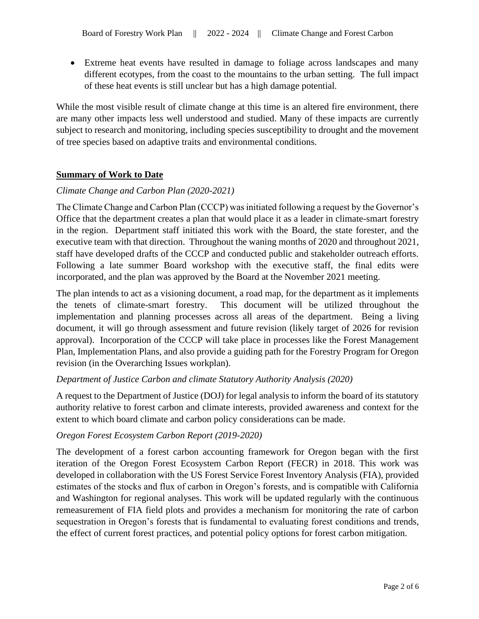• Extreme heat events have resulted in damage to foliage across landscapes and many different ecotypes, from the coast to the mountains to the urban setting. The full impact of these heat events is still unclear but has a high damage potential.

While the most visible result of climate change at this time is an altered fire environment, there are many other impacts less well understood and studied. Many of these impacts are currently subject to research and monitoring, including species susceptibility to drought and the movement of tree species based on adaptive traits and environmental conditions.

### **Summary of Work to Date**

#### *Climate Change and Carbon Plan (2020-2021)*

The Climate Change and Carbon Plan (CCCP) was initiated following a request by the Governor's Office that the department creates a plan that would place it as a leader in climate-smart forestry in the region. Department staff initiated this work with the Board, the state forester, and the executive team with that direction. Throughout the waning months of 2020 and throughout 2021, staff have developed drafts of the CCCP and conducted public and stakeholder outreach efforts. Following a late summer Board workshop with the executive staff, the final edits were incorporated, and the plan was approved by the Board at the November 2021 meeting.

The plan intends to act as a visioning document, a road map, for the department as it implements the tenets of climate-smart forestry. This document will be utilized throughout the implementation and planning processes across all areas of the department. Being a living document, it will go through assessment and future revision (likely target of 2026 for revision approval). Incorporation of the CCCP will take place in processes like the Forest Management Plan, Implementation Plans, and also provide a guiding path for the Forestry Program for Oregon revision (in the Overarching Issues workplan).

### *Department of Justice Carbon and climate Statutory Authority Analysis (2020)*

A request to the Department of Justice (DOJ) for legal analysis to inform the board of its statutory authority relative to forest carbon and climate interests, provided awareness and context for the extent to which board climate and carbon policy considerations can be made.

#### *Oregon Forest Ecosystem Carbon Report (2019-2020)*

The development of a forest carbon accounting framework for Oregon began with the first iteration of the Oregon Forest Ecosystem Carbon Report (FECR) in 2018. This work was developed in collaboration with the US Forest Service Forest Inventory Analysis (FIA), provided estimates of the stocks and flux of carbon in Oregon's forests, and is compatible with California and Washington for regional analyses. This work will be updated regularly with the continuous remeasurement of FIA field plots and provides a mechanism for monitoring the rate of carbon sequestration in Oregon's forests that is fundamental to evaluating forest conditions and trends, the effect of current forest practices, and potential policy options for forest carbon mitigation.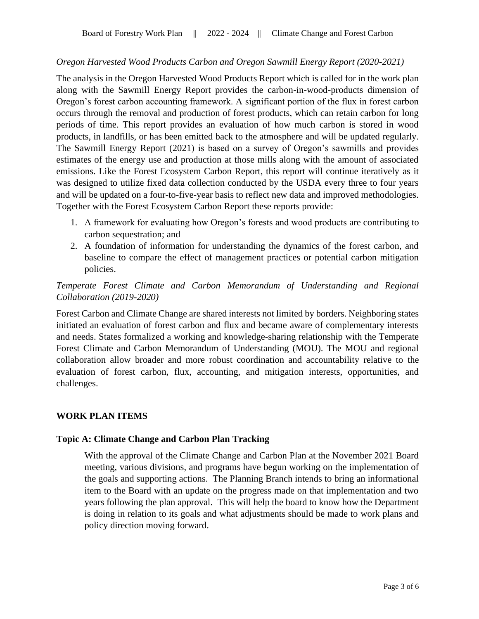### *Oregon Harvested Wood Products Carbon and Oregon Sawmill Energy Report (2020-2021)*

The analysis in the Oregon Harvested Wood Products Report which is called for in the work plan along with the Sawmill Energy Report provides the carbon-in-wood-products dimension of Oregon's forest carbon accounting framework. A significant portion of the flux in forest carbon occurs through the removal and production of forest products, which can retain carbon for long periods of time. This report provides an evaluation of how much carbon is stored in wood products, in landfills, or has been emitted back to the atmosphere and will be updated regularly. The Sawmill Energy Report (2021) is based on a survey of Oregon's sawmills and provides estimates of the energy use and production at those mills along with the amount of associated emissions. Like the Forest Ecosystem Carbon Report, this report will continue iteratively as it was designed to utilize fixed data collection conducted by the USDA every three to four years and will be updated on a four-to-five-year basis to reflect new data and improved methodologies. Together with the Forest Ecosystem Carbon Report these reports provide:

- 1. A framework for evaluating how Oregon's forests and wood products are contributing to carbon sequestration; and
- 2. A foundation of information for understanding the dynamics of the forest carbon, and baseline to compare the effect of management practices or potential carbon mitigation policies.

# *Temperate Forest Climate and Carbon Memorandum of Understanding and Regional Collaboration (2019-2020)*

Forest Carbon and Climate Change are shared interests not limited by borders. Neighboring states initiated an evaluation of forest carbon and flux and became aware of complementary interests and needs. States formalized a working and knowledge-sharing relationship with the Temperate Forest Climate and Carbon Memorandum of Understanding (MOU). The MOU and regional collaboration allow broader and more robust coordination and accountability relative to the evaluation of forest carbon, flux, accounting, and mitigation interests, opportunities, and challenges.

### **WORK PLAN ITEMS**

### **Topic A: Climate Change and Carbon Plan Tracking**

With the approval of the Climate Change and Carbon Plan at the November 2021 Board meeting, various divisions, and programs have begun working on the implementation of the goals and supporting actions. The Planning Branch intends to bring an informational item to the Board with an update on the progress made on that implementation and two years following the plan approval. This will help the board to know how the Department is doing in relation to its goals and what adjustments should be made to work plans and policy direction moving forward.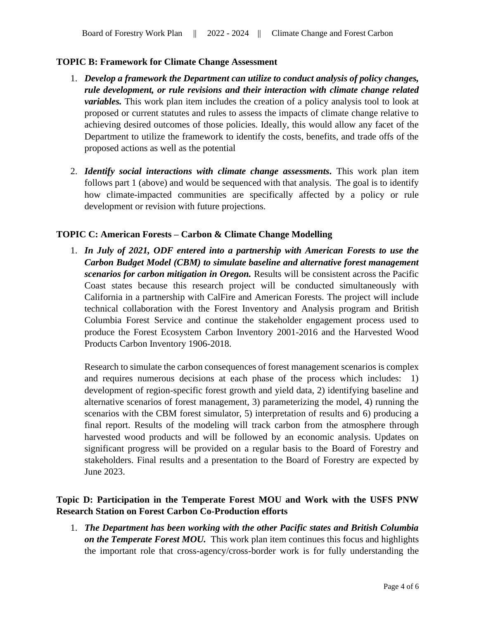### **TOPIC B: Framework for Climate Change Assessment**

- 1. *Develop a framework the Department can utilize to conduct analysis of policy changes, rule development, or rule revisions and their interaction with climate change related variables.* This work plan item includes the creation of a policy analysis tool to look at proposed or current statutes and rules to assess the impacts of climate change relative to achieving desired outcomes of those policies. Ideally, this would allow any facet of the Department to utilize the framework to identify the costs, benefits, and trade offs of the proposed actions as well as the potential
- 2. *Identify social interactions with climate change assessments.* This work plan item follows part 1 (above) and would be sequenced with that analysis. The goal is to identify how climate-impacted communities are specifically affected by a policy or rule development or revision with future projections.

### **TOPIC C: American Forests – Carbon & Climate Change Modelling**

1. *In July of 2021, ODF entered into a partnership with American Forests to use the Carbon Budget Model (CBM) to simulate baseline and alternative forest management scenarios for carbon mitigation in Oregon.* Results will be consistent across the Pacific Coast states because this research project will be conducted simultaneously with California in a partnership with CalFire and American Forests. The project will include technical collaboration with the Forest Inventory and Analysis program and British Columbia Forest Service and continue the stakeholder engagement process used to produce the Forest Ecosystem Carbon Inventory 2001-2016 and the Harvested Wood Products Carbon Inventory 1906-2018.

Research to simulate the carbon consequences of forest management scenarios is complex and requires numerous decisions at each phase of the process which includes: 1) development of region-specific forest growth and yield data, 2) identifying baseline and alternative scenarios of forest management, 3) parameterizing the model, 4) running the scenarios with the CBM forest simulator, 5) interpretation of results and 6) producing a final report. Results of the modeling will track carbon from the atmosphere through harvested wood products and will be followed by an economic analysis. Updates on significant progress will be provided on a regular basis to the Board of Forestry and stakeholders. Final results and a presentation to the Board of Forestry are expected by June 2023.

# **Topic D: Participation in the Temperate Forest MOU and Work with the USFS PNW Research Station on Forest Carbon Co-Production efforts**

1. *The Department has been working with the other Pacific states and British Columbia on the Temperate Forest MOU.* This work plan item continues this focus and highlights the important role that cross-agency/cross-border work is for fully understanding the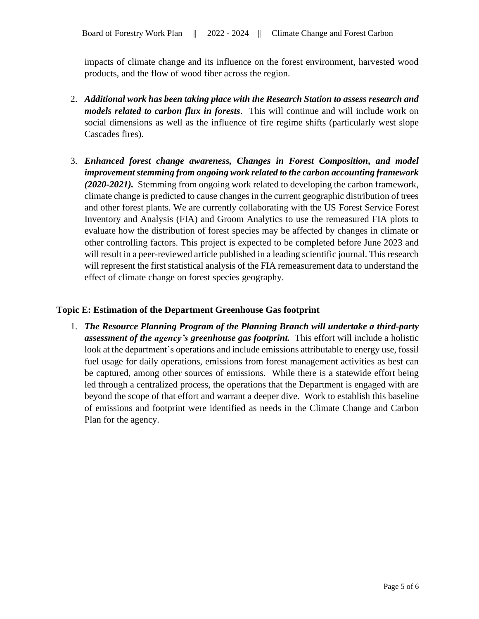impacts of climate change and its influence on the forest environment, harvested wood products, and the flow of wood fiber across the region.

- 2. *Additional work has been taking place with the Research Station to assess research and models related to carbon flux in forests*. This will continue and will include work on social dimensions as well as the influence of fire regime shifts (particularly west slope Cascades fires).
- 3. *Enhanced forest change awareness, Changes in Forest Composition, and model improvement stemming from ongoing work related to the carbon accounting framework (2020-2021).* Stemming from ongoing work related to developing the carbon framework, climate change is predicted to cause changes in the current geographic distribution of trees and other forest plants. We are currently collaborating with the US Forest Service Forest Inventory and Analysis (FIA) and Groom Analytics to use the remeasured FIA plots to evaluate how the distribution of forest species may be affected by changes in climate or other controlling factors. This project is expected to be completed before June 2023 and will result in a peer-reviewed article published in a leading scientific journal. This research will represent the first statistical analysis of the FIA remeasurement data to understand the effect of climate change on forest species geography.

### **Topic E: Estimation of the Department Greenhouse Gas footprint**

1. *The Resource Planning Program of the Planning Branch will undertake a third-party assessment of the agency's greenhouse gas footprint.* This effort will include a holistic look at the department's operations and include emissions attributable to energy use, fossil fuel usage for daily operations, emissions from forest management activities as best can be captured, among other sources of emissions. While there is a statewide effort being led through a centralized process, the operations that the Department is engaged with are beyond the scope of that effort and warrant a deeper dive. Work to establish this baseline of emissions and footprint were identified as needs in the Climate Change and Carbon Plan for the agency.